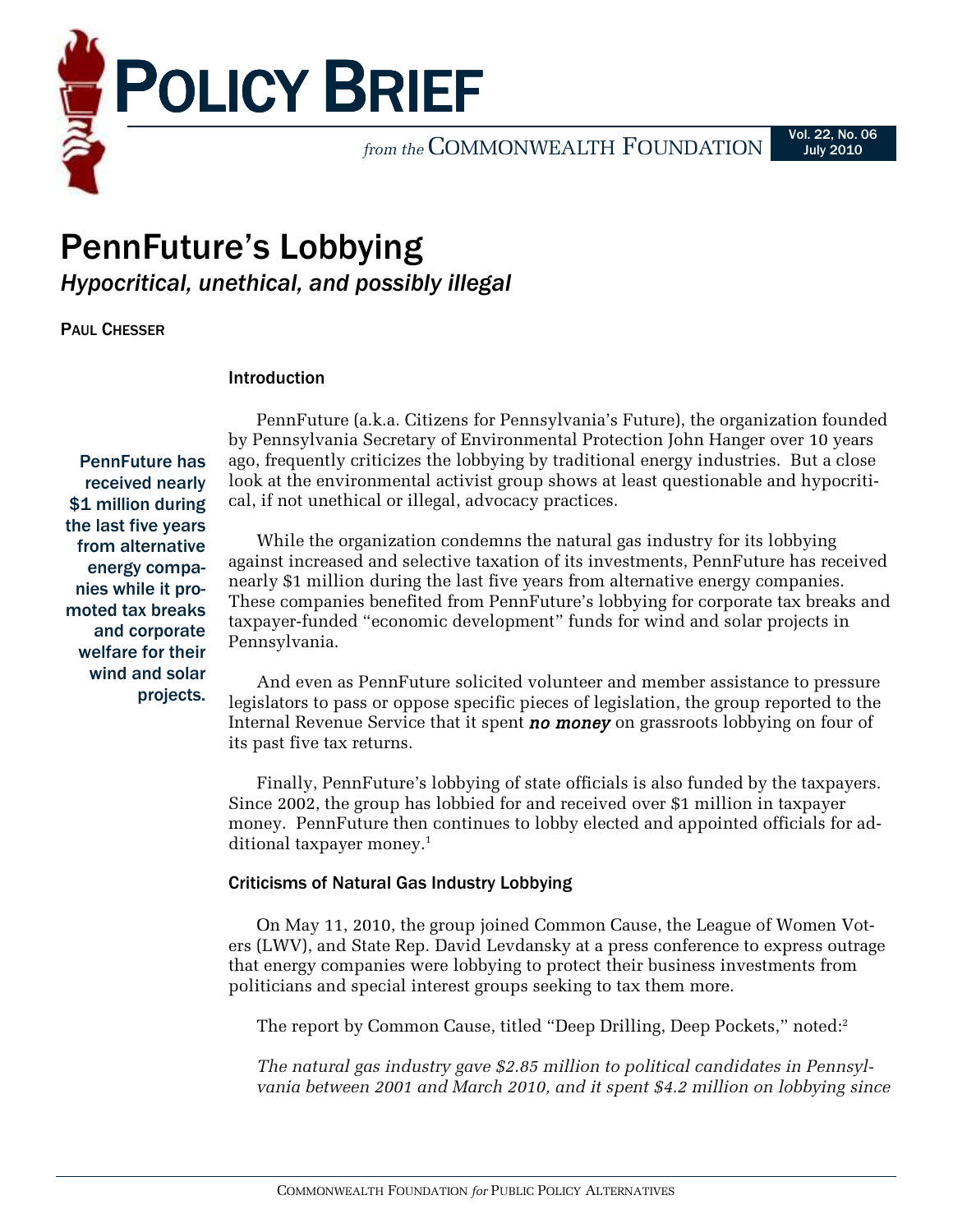

*from the* COMMONWEALTH FOUNDATION

Vol. 22, No. 06 July 2010

# PennFuture's Lobbying *Hypocritical, unethical, and possibly illegal*

PAUL CHESSER

## Introduction

PennFuture has received nearly \$1 million during the last five years from alternative energy companies while it promoted tax breaks and corporate welfare for their wind and solar projects.

PennFuture (a.k.a. Citizens for Pennsylvania's Future), the organization founded by Pennsylvania Secretary of Environmental Protection John Hanger over 10 years ago, frequently criticizes the lobbying by traditional energy industries. But a close look at the environmental activist group shows at least questionable and hypocritical, if not unethical or illegal, advocacy practices.

While the organization condemns the natural gas industry for its lobbying against increased and selective taxation of its investments, PennFuture has received nearly \$1 million during the last five years from alternative energy companies. These companies benefited from PennFuture's lobbying for corporate tax breaks and taxpayer-funded "economic development" funds for wind and solar projects in Pennsylvania.

And even as PennFuture solicited volunteer and member assistance to pressure legislators to pass or oppose specific pieces of legislation, the group reported to the Internal Revenue Service that it spent *no money* on grassroots lobbying on four of its past five tax returns.

Finally, PennFuture's lobbying of state officials is also funded by the taxpayers. Since 2002, the group has lobbied for and received over \$1 million in taxpayer money. PennFuture then continues to lobby elected and appointed officials for additional taxpayer money.<sup>1</sup>

## Criticisms of Natural Gas Industry Lobbying

On May 11, 2010, the group joined Common Cause, the League of Women Voters (LWV), and State Rep. David Levdansky at a press conference to express outrage that energy companies were lobbying to protect their business investments from politicians and special interest groups seeking to tax them more.

The report by Common Cause, titled "Deep Drilling, Deep Pockets," noted:<sup>2</sup>

*The natural gas industry gave \$2.85 million to political candidates in Pennsylvania between 2001 and March 2010, and it spent \$4.2 million on lobbying since*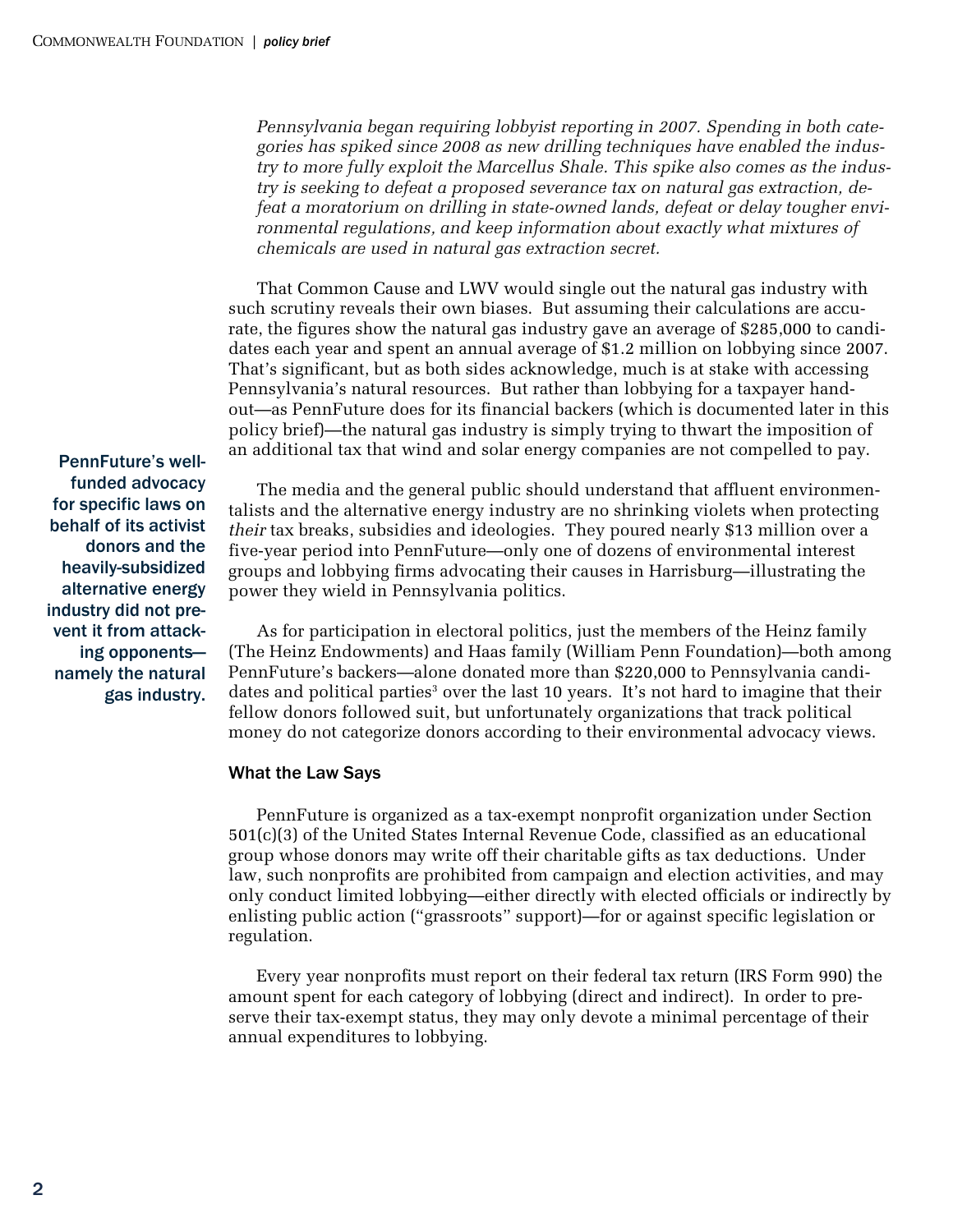*Pennsylvania began requiring lobbyist reporting in 2007. Spending in both categories has spiked since 2008 as new drilling techniques have enabled the industry to more fully exploit the Marcellus Shale. This spike also comes as the industry is seeking to defeat a proposed severance tax on natural gas extraction, defeat a moratorium on drilling in state-owned lands, defeat or delay tougher environmental regulations, and keep information about exactly what mixtures of chemicals are used in natural gas extraction secret.*

That Common Cause and LWV would single out the natural gas industry with such scrutiny reveals their own biases. But assuming their calculations are accurate, the figures show the natural gas industry gave an average of \$285,000 to candidates each year and spent an annual average of \$1.2 million on lobbying since 2007. That's significant, but as both sides acknowledge, much is at stake with accessing Pennsylvania's natural resources. But rather than lobbying for a taxpayer handout—as PennFuture does for its financial backers (which is documented later in this policy brief)—the natural gas industry is simply trying to thwart the imposition of an additional tax that wind and solar energy companies are not compelled to pay.

PennFuture's wellfunded advocacy for specific laws on behalf of its activist donors and the heavily-subsidized alternative energy industry did not prevent it from attacking opponents namely the natural gas industry.

The media and the general public should understand that affluent environmentalists and the alternative energy industry are no shrinking violets when protecting *their* tax breaks, subsidies and ideologies. They poured nearly \$13 million over a five-year period into PennFuture—only one of dozens of environmental interest groups and lobbying firms advocating their causes in Harrisburg—illustrating the power they wield in Pennsylvania politics.

As for participation in electoral politics, just the members of the Heinz family (The Heinz Endowments) and Haas family (William Penn Foundation)—both among PennFuture's backers—alone donated more than \$220,000 to Pennsylvania candidates and political parties<sup>3</sup> over the last 10 years. It's not hard to imagine that their fellow donors followed suit, but unfortunately organizations that track political money do not categorize donors according to their environmental advocacy views.

#### What the Law Says

PennFuture is organized as a tax-exempt nonprofit organization under Section 501(c)(3) of the United States Internal Revenue Code, classified as an educational group whose donors may write off their charitable gifts as tax deductions. Under law, such nonprofits are prohibited from campaign and election activities, and may only conduct limited lobbying—either directly with elected officials or indirectly by enlisting public action ("grassroots" support)—for or against specific legislation or regulation.

Every year nonprofits must report on their federal tax return (IRS Form 990) the amount spent for each category of lobbying (direct and indirect). In order to preserve their tax-exempt status, they may only devote a minimal percentage of their annual expenditures to lobbying.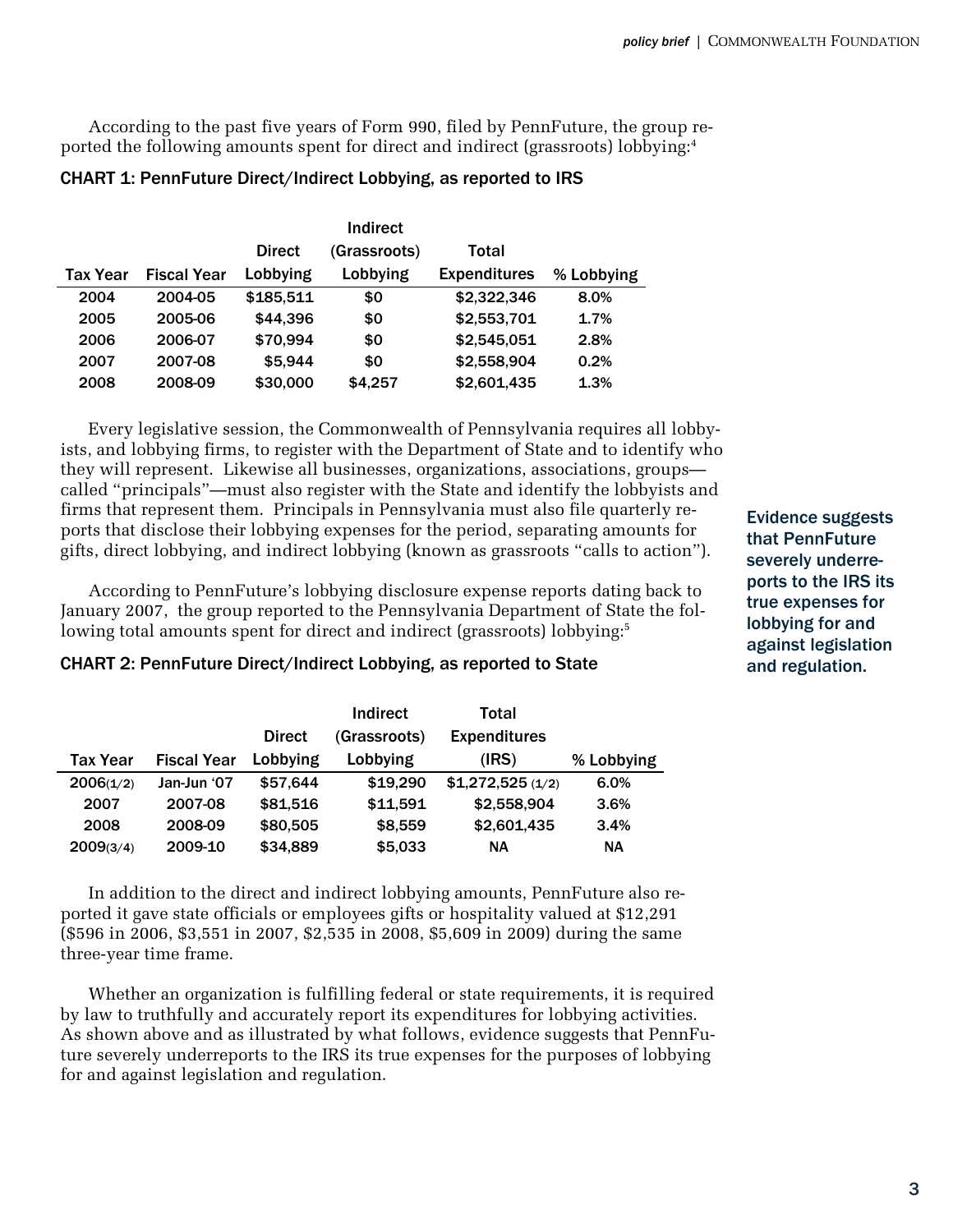According to the past five years of Form 990, filed by PennFuture, the group reported the following amounts spent for direct and indirect (grassroots) lobbying:<sup>4</sup>

Indirect

|          |                    |               | indirect     |                     |            |
|----------|--------------------|---------------|--------------|---------------------|------------|
|          |                    | <b>Direct</b> | (Grassroots) | Total               |            |
| Tax Year | <b>Fiscal Year</b> | Lobbying      | Lobbying     | <b>Expenditures</b> | % Lobbying |
| 2004     | 2004-05            | \$185.511     | \$0          | \$2,322,346         | 8.0%       |
| 2005     | 2005-06            | \$44,396      | \$0          | \$2,553,701         | 1.7%       |
| 2006     | 2006-07            | \$70.994      | \$0          | \$2.545.051         | 2.8%       |
| 2007     | 2007-08            | \$5,944       | \$0          | \$2,558,904         | 0.2%       |
| 2008     | 2008-09            | \$30,000      | \$4,257      | \$2,601,435         | 1.3%       |

#### CHART 1: PennFuture Direct/Indirect Lobbying, as reported to IRS

Every legislative session, the Commonwealth of Pennsylvania requires all lobbyists, and lobbying firms, to register with the Department of State and to identify who they will represent. Likewise all businesses, organizations, associations, groups called "principals"—must also register with the State and identify the lobbyists and firms that represent them. Principals in Pennsylvania must also file quarterly reports that disclose their lobbying expenses for the period, separating amounts for gifts, direct lobbying, and indirect lobbying (known as grassroots "calls to action").

According to PennFuture's lobbying disclosure expense reports dating back to January 2007, the group reported to the Pennsylvania Department of State the following total amounts spent for direct and indirect (grassroots) lobbying:<sup>5</sup>

CHART 2: PennFuture Direct/Indirect Lobbying, as reported to State

|                 |                    |               | Indirect     | Total                |            |
|-----------------|--------------------|---------------|--------------|----------------------|------------|
|                 |                    | <b>Direct</b> | (Grassroots) | <b>Expenditures</b>  |            |
| <b>Tax Year</b> | <b>Fiscal Year</b> | Lobbying      | Lobbying     | (IRS)                | % Lobbying |
| 2006(1/2)       | Jan-Jun '07        | \$57.644      | \$19,290     | $$1,272,525 \ (1/2)$ | 6.0%       |
| 2007            | 2007-08            | \$81,516      | \$11,591     | \$2,558,904          | 3.6%       |
| 2008            | 2008-09            | \$80,505      | \$8,559      | \$2,601,435          | 3.4%       |
| 2009(3/4)       | 2009-10            | \$34,889      | \$5,033      | ΝA                   | <b>NA</b>  |

In addition to the direct and indirect lobbying amounts, PennFuture also reported it gave state officials or employees gifts or hospitality valued at \$12,291 (\$596 in 2006, \$3,551 in 2007, \$2,535 in 2008, \$5,609 in 2009) during the same three-year time frame.

Whether an organization is fulfilling federal or state requirements, it is required by law to truthfully and accurately report its expenditures for lobbying activities. As shown above and as illustrated by what follows, evidence suggests that PennFuture severely underreports to the IRS its true expenses for the purposes of lobbying for and against legislation and regulation.

Evidence suggests that PennFuture severely underreports to the IRS its true expenses for lobbying for and against legislation and regulation.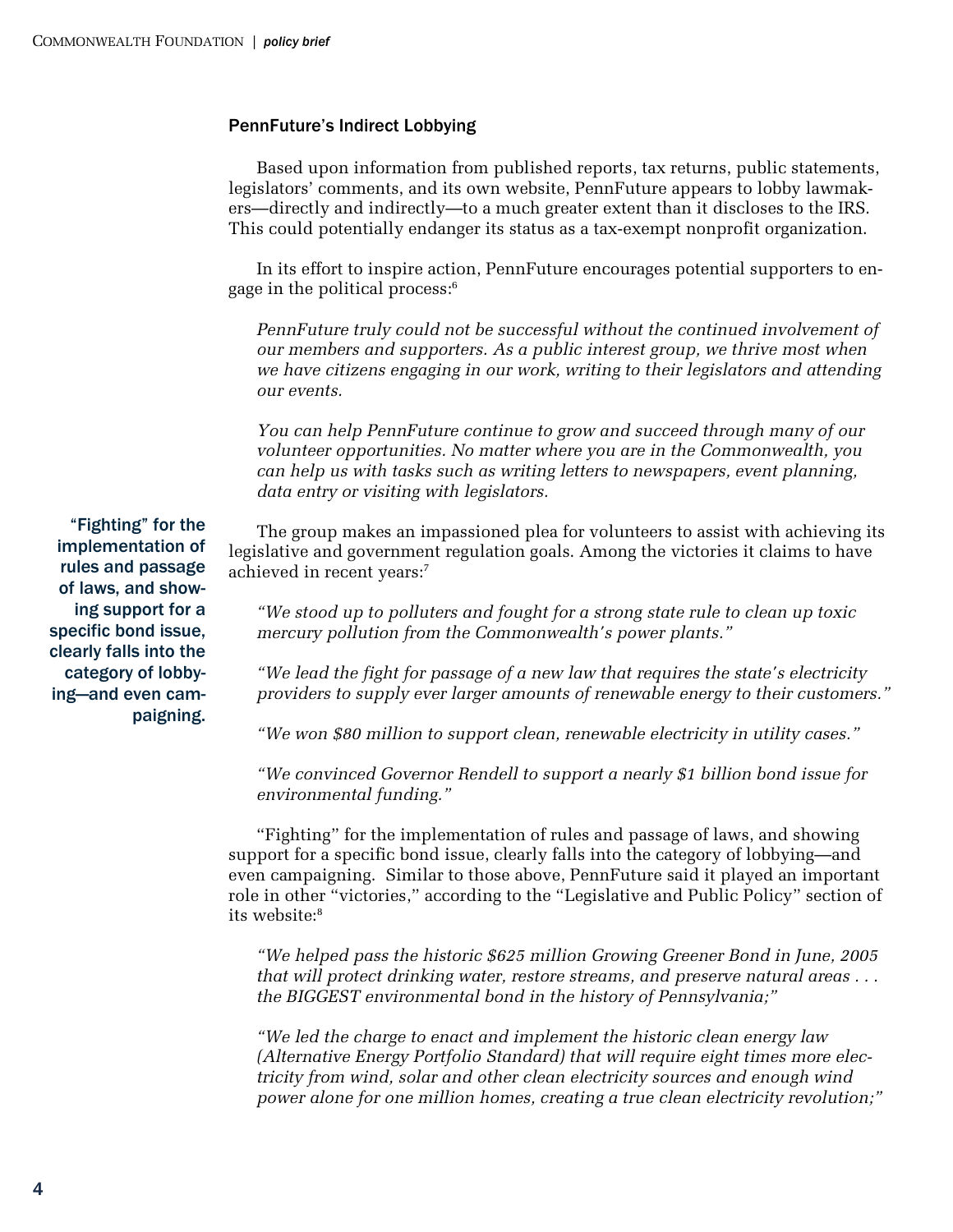# PennFuture's Indirect Lobbying

Based upon information from published reports, tax returns, public statements, legislators' comments, and its own website, PennFuture appears to lobby lawmakers—directly and indirectly—to a much greater extent than it discloses to the IRS. This could potentially endanger its status as a tax-exempt nonprofit organization.

In its effort to inspire action, PennFuture encourages potential supporters to engage in the political process:<sup>6</sup>

*PennFuture truly could not be successful without the continued involvement of our members and supporters. As a public interest group, we thrive most when we have citizens engaging in our work, writing to their legislators and attending our events.* 

*You can help PennFuture continue to grow and succeed through many of our volunteer opportunities. No matter where you are in the Commonwealth, you can help us with tasks such as writing letters to newspapers, event planning, data entry or visiting with legislators.*

The group makes an impassioned plea for volunteers to assist with achieving its legislative and government regulation goals. Among the victories it claims to have achieved in recent years:<sup>7</sup>

*"We stood up to polluters and fought for a strong state rule to clean up toxic mercury pollution from the Commonwealth's power plants."* 

*"We lead the fight for passage of a new law that requires the state's electricity providers to supply ever larger amounts of renewable energy to their customers."* 

*"We won \$80 million to support clean, renewable electricity in utility cases."* 

*"We convinced Governor Rendell to support a nearly \$1 billion bond issue for environmental funding."* 

"Fighting" for the implementation of rules and passage of laws, and showing support for a specific bond issue, clearly falls into the category of lobbying—and even campaigning. Similar to those above, PennFuture said it played an important role in other "victories," according to the "Legislative and Public Policy" section of its website:<sup>8</sup>

*"We helped pass the historic \$625 million Growing Greener Bond in June, 2005 that will protect drinking water, restore streams, and preserve natural areas . . . the BIGGEST environmental bond in the history of Pennsylvania;"* 

*"We led the charge to enact and implement the historic clean energy law (Alternative Energy Portfolio Standard) that will require eight times more electricity from wind, solar and other clean electricity sources and enough wind power alone for one million homes, creating a true clean electricity revolution;"* 

"Fighting" for the implementation of rules and passage of laws, and showing support for a specific bond issue, clearly falls into the category of lobbying—and even campaigning.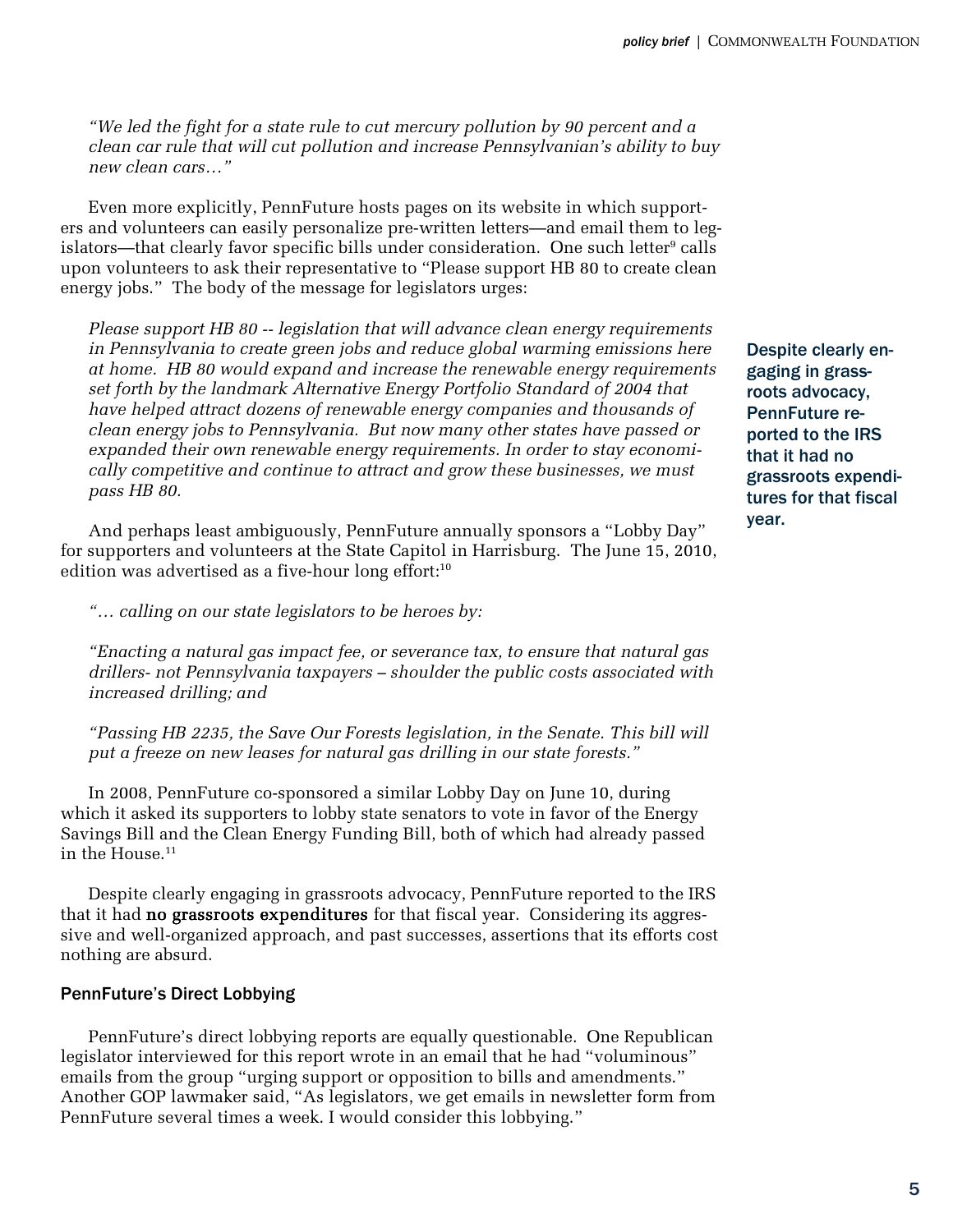*"We led the fight for a state rule to cut mercury pollution by 90 percent and a clean car rule that will cut pollution and increase Pennsylvanian's ability to buy new clean cars…"* 

Even more explicitly, PennFuture hosts pages on its website in which supporters and volunteers can easily personalize pre-written letters—and email them to legislators—that clearly favor specific bills under consideration. One such letter<sup>9</sup> calls upon volunteers to ask their representative to "Please support HB 80 to create clean energy jobs." The body of the message for legislators urges:

*Please support HB 80 -- legislation that will advance clean energy requirements in Pennsylvania to create green jobs and reduce global warming emissions here at home. HB 80 would expand and increase the renewable energy requirements set forth by the landmark Alternative Energy Portfolio Standard of 2004 that have helped attract dozens of renewable energy companies and thousands of clean energy jobs to Pennsylvania. But now many other states have passed or expanded their own renewable energy requirements. In order to stay economically competitive and continue to attract and grow these businesses, we must pass HB 80.*

And perhaps least ambiguously, PennFuture annually sponsors a "Lobby Day" for supporters and volunteers at the State Capitol in Harrisburg. The June 15, 2010, edition was advertised as a five-hour long effort:<sup>10</sup>

*"… calling on our state legislators to be heroes by:* 

*"Enacting a natural gas impact fee, or severance tax, to ensure that natural gas drillers- not Pennsylvania taxpayers – shoulder the public costs associated with increased drilling; and* 

*"Passing HB 2235, the Save Our Forests legislation, in the Senate. This bill will put a freeze on new leases for natural gas drilling in our state forests."* 

In 2008, PennFuture co-sponsored a similar Lobby Day on June 10, during which it asked its supporters to lobby state senators to vote in favor of the Energy Savings Bill and the Clean Energy Funding Bill, both of which had already passed in the House.<sup>11</sup>

Despite clearly engaging in grassroots advocacy, PennFuture reported to the IRS that it had no grassroots expenditures for that fiscal year. Considering its aggressive and well-organized approach, and past successes, assertions that its efforts cost nothing are absurd.

#### PennFuture's Direct Lobbying

PennFuture's direct lobbying reports are equally questionable. One Republican legislator interviewed for this report wrote in an email that he had "voluminous" emails from the group "urging support or opposition to bills and amendments." Another GOP lawmaker said, "As legislators, we get emails in newsletter form from PennFuture several times a week. I would consider this lobbying."

Despite clearly engaging in grassroots advocacy, PennFuture reported to the IRS that it had no grassroots expenditures for that fiscal year.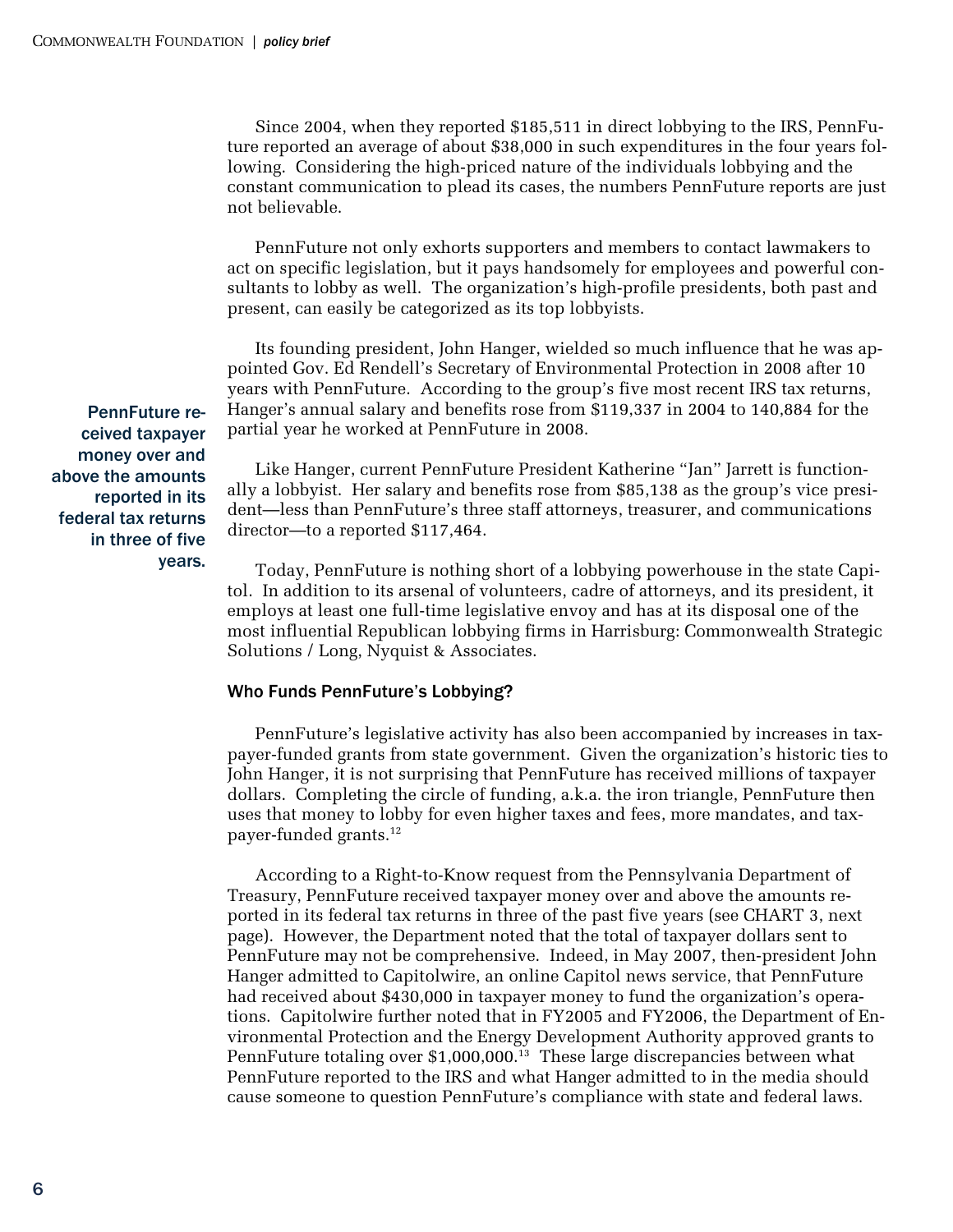Since 2004, when they reported \$185,511 in direct lobbying to the IRS, PennFuture reported an average of about \$38,000 in such expenditures in the four years following. Considering the high-priced nature of the individuals lobbying and the constant communication to plead its cases, the numbers PennFuture reports are just not believable.

PennFuture not only exhorts supporters and members to contact lawmakers to act on specific legislation, but it pays handsomely for employees and powerful consultants to lobby as well. The organization's high-profile presidents, both past and present, can easily be categorized as its top lobbyists.

Its founding president, John Hanger, wielded so much influence that he was appointed Gov. Ed Rendell's Secretary of Environmental Protection in 2008 after 10 years with PennFuture. According to the group's five most recent IRS tax returns, Hanger's annual salary and benefits rose from \$119,337 in 2004 to 140,884 for the partial year he worked at PennFuture in 2008.

Like Hanger, current PennFuture President Katherine "Jan" Jarrett is functionally a lobbyist. Her salary and benefits rose from \$85,138 as the group's vice president—less than PennFuture's three staff attorneys, treasurer, and communications director—to a reported \$117,464.

Today, PennFuture is nothing short of a lobbying powerhouse in the state Capitol. In addition to its arsenal of volunteers, cadre of attorneys, and its president, it employs at least one full-time legislative envoy and has at its disposal one of the most influential Republican lobbying firms in Harrisburg: Commonwealth Strategic Solutions / Long, Nyquist & Associates.

## Who Funds PennFuture's Lobbying?

PennFuture's legislative activity has also been accompanied by increases in taxpayer-funded grants from state government. Given the organization's historic ties to John Hanger, it is not surprising that PennFuture has received millions of taxpayer dollars. Completing the circle of funding, a.k.a. the iron triangle, PennFuture then uses that money to lobby for even higher taxes and fees, more mandates, and taxpayer-funded grants.<sup>12</sup>

According to a Right-to-Know request from the Pennsylvania Department of Treasury, PennFuture received taxpayer money over and above the amounts reported in its federal tax returns in three of the past five years (see CHART 3, next page). However, the Department noted that the total of taxpayer dollars sent to PennFuture may not be comprehensive. Indeed, in May 2007, then-president John Hanger admitted to Capitolwire, an online Capitol news service, that PennFuture had received about \$430,000 in taxpayer money to fund the organization's operations. Capitolwire further noted that in FY2005 and FY2006, the Department of Environmental Protection and the Energy Development Authority approved grants to PennFuture totaling over \$1,000,000.<sup>13</sup> These large discrepancies between what PennFuture reported to the IRS and what Hanger admitted to in the media should cause someone to question PennFuture's compliance with state and federal laws.

PennFuture received taxpayer money over and above the amounts reported in its federal tax returns in three of five years.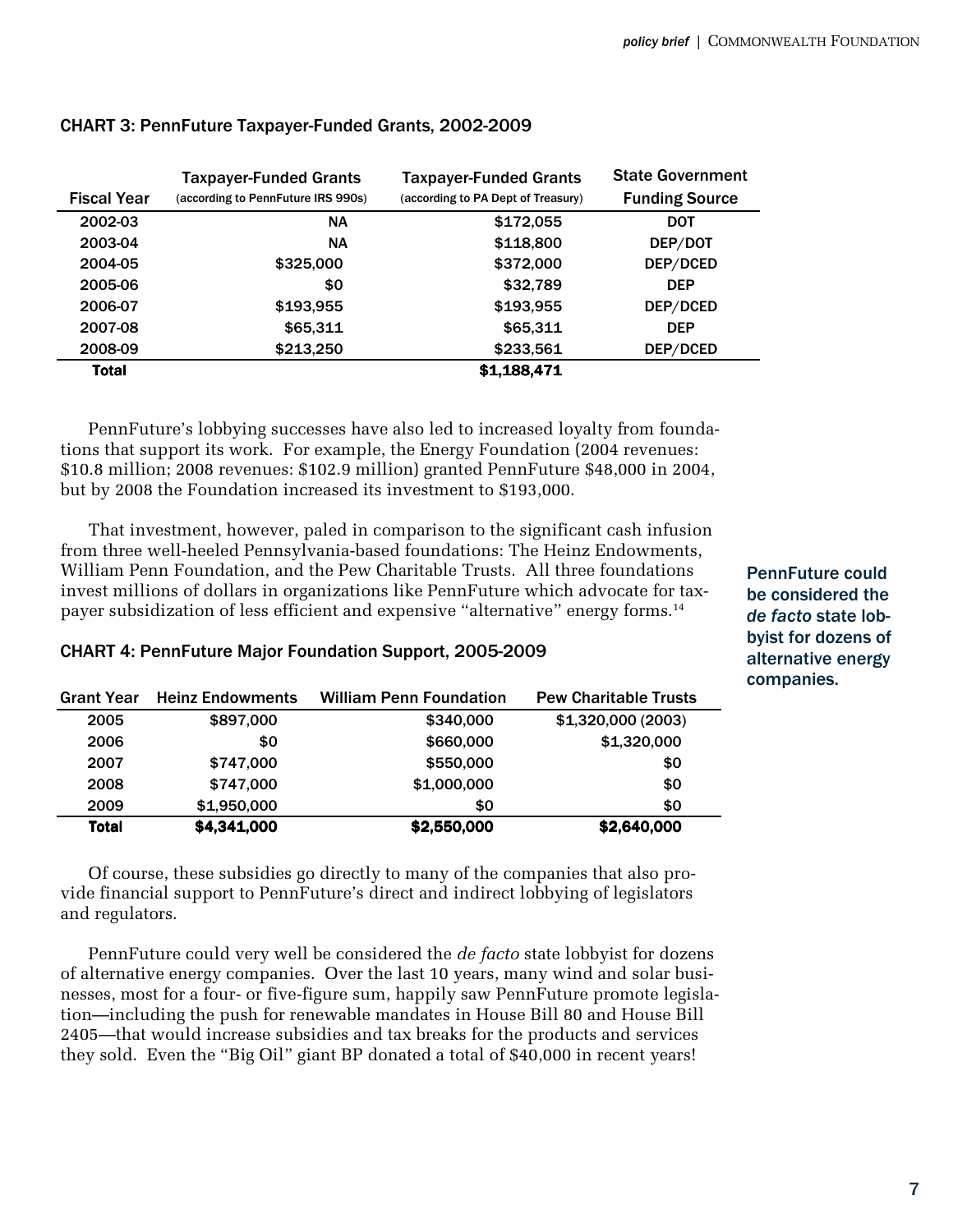|                    | <b>Taxpayer-Funded Grants</b>      | <b>Taxpayer-Funded Grants</b>      | <b>State Government</b> |
|--------------------|------------------------------------|------------------------------------|-------------------------|
| <b>Fiscal Year</b> | (according to PennFuture IRS 990s) | (according to PA Dept of Treasury) | <b>Funding Source</b>   |
| 2002-03            | NА                                 | \$172,055                          | <b>DOT</b>              |
| 2003-04            | NΑ                                 | \$118,800                          | DEP/DOT                 |
| 2004-05            | \$325,000                          | \$372,000                          | DEP/DCED                |
| 2005-06            | \$0                                | \$32,789                           | <b>DEP</b>              |
| 2006-07            | \$193,955                          | \$193,955                          | DEP/DCED                |
| 2007-08            | \$65,311                           | \$65,311                           | <b>DEP</b>              |
| 2008-09            | \$213,250                          | \$233,561                          | DEP/DCED                |
| <b>Total</b>       |                                    | \$1,188,471                        |                         |

## CHART 3: PennFuture Taxpayer-Funded Grants, 2002-2009

PennFuture's lobbying successes have also led to increased loyalty from foundations that support its work. For example, the Energy Foundation (2004 revenues: \$10.8 million; 2008 revenues: \$102.9 million) granted PennFuture \$48,000 in 2004, but by 2008 the Foundation increased its investment to \$193,000.

That investment, however, paled in comparison to the significant cash infusion from three well-heeled Pennsylvania-based foundations: The Heinz Endowments, William Penn Foundation, and the Pew Charitable Trusts. All three foundations invest millions of dollars in organizations like PennFuture which advocate for taxpayer subsidization of less efficient and expensive "alternative" energy forms.<sup>14</sup>

CHART 4: PennFuture Major Foundation Support, 2005-2009

| <b>Grant Year</b> | <b>Heinz Endowments</b><br><b>William Penn Foundation</b> |             | <b>Pew Charitable Trusts</b> |  |  |
|-------------------|-----------------------------------------------------------|-------------|------------------------------|--|--|
| 2005              | \$897,000                                                 | \$340,000   | \$1,320,000 (2003)           |  |  |
| 2006              | \$0                                                       | \$660,000   | \$1,320,000                  |  |  |
| 2007              | \$747,000                                                 | \$550,000   | \$0                          |  |  |
| 2008              | \$747,000                                                 | \$1,000,000 | \$0                          |  |  |
| 2009              | \$1,950,000                                               | \$0         | \$0                          |  |  |
| Total             | \$4,341,000                                               | \$2,550,000 | \$2,640,000                  |  |  |

Of course, these subsidies go directly to many of the companies that also provide financial support to PennFuture's direct and indirect lobbying of legislators and regulators.

PennFuture could very well be considered the *de facto* state lobbyist for dozens of alternative energy companies. Over the last 10 years, many wind and solar businesses, most for a four- or five-figure sum, happily saw PennFuture promote legislation—including the push for renewable mandates in House Bill 80 and House Bill 2405—that would increase subsidies and tax breaks for the products and services they sold. Even the "Big Oil" giant BP donated a total of \$40,000 in recent years!

PennFuture could be considered the *de facto* state lobbyist for dozens of alternative energy companies.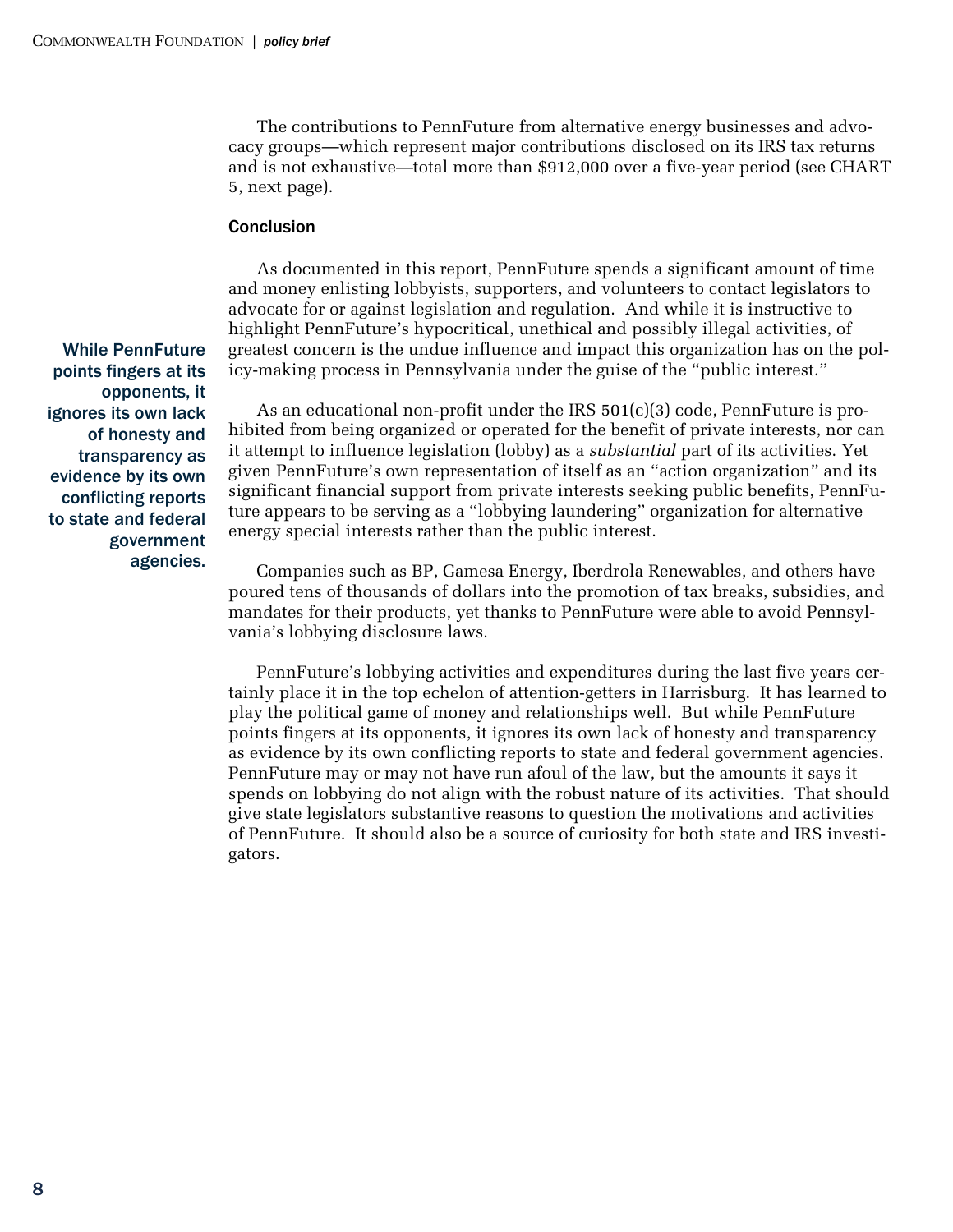The contributions to PennFuture from alternative energy businesses and advocacy groups—which represent major contributions disclosed on its IRS tax returns and is not exhaustive—total more than \$912,000 over a five-year period (see CHART 5, next page).

#### Conclusion

As documented in this report, PennFuture spends a significant amount of time and money enlisting lobbyists, supporters, and volunteers to contact legislators to advocate for or against legislation and regulation. And while it is instructive to highlight PennFuture's hypocritical, unethical and possibly illegal activities, of greatest concern is the undue influence and impact this organization has on the policy-making process in Pennsylvania under the guise of the "public interest."

As an educational non-profit under the IRS 501(c)(3) code, PennFuture is prohibited from being organized or operated for the benefit of private interests, nor can it attempt to influence legislation (lobby) as a *substantial* part of its activities. Yet given PennFuture's own representation of itself as an "action organization" and its significant financial support from private interests seeking public benefits, PennFuture appears to be serving as a "lobbying laundering" organization for alternative energy special interests rather than the public interest.

Companies such as BP, Gamesa Energy, Iberdrola Renewables, and others have poured tens of thousands of dollars into the promotion of tax breaks, subsidies, and mandates for their products, yet thanks to PennFuture were able to avoid Pennsylvania's lobbying disclosure laws.

PennFuture's lobbying activities and expenditures during the last five years certainly place it in the top echelon of attention-getters in Harrisburg. It has learned to play the political game of money and relationships well. But while PennFuture points fingers at its opponents, it ignores its own lack of honesty and transparency as evidence by its own conflicting reports to state and federal government agencies. PennFuture may or may not have run afoul of the law, but the amounts it says it spends on lobbying do not align with the robust nature of its activities. That should give state legislators substantive reasons to question the motivations and activities of PennFuture. It should also be a source of curiosity for both state and IRS investigators.

While PennFuture points fingers at its opponents, it ignores its own lack of honesty and transparency as evidence by its own conflicting reports to state and federal government agencies.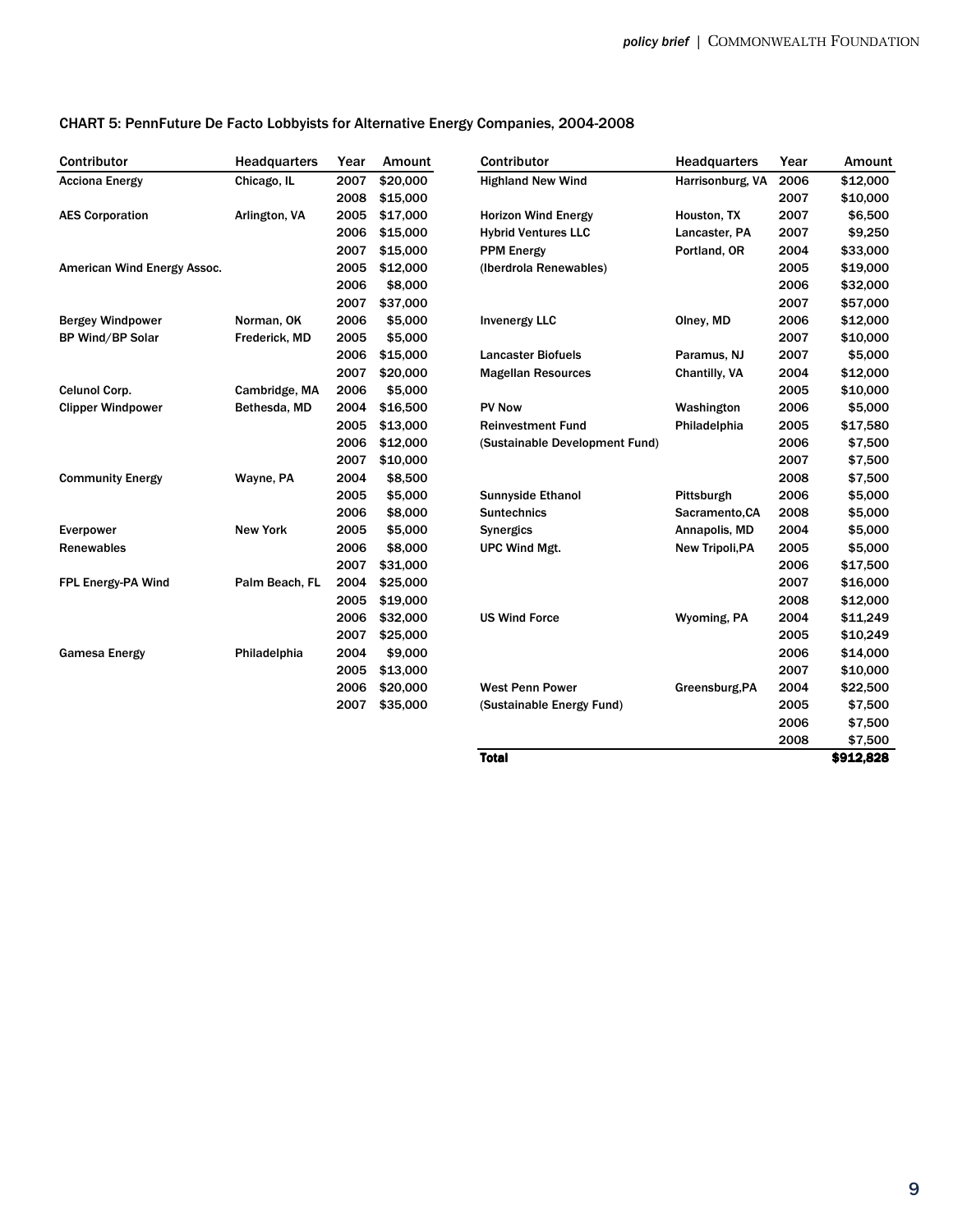## CHART 5: PennFuture De Facto Lobbyists for Alternative Energy Companies, 2004-2008

| <b>Contributor</b>          | <b>Headquarters</b> | Year | Amount   | <b>Contributor</b>             | <b>Headquarters</b>    | Year | Amount   |
|-----------------------------|---------------------|------|----------|--------------------------------|------------------------|------|----------|
| <b>Acciona Energy</b>       | Chicago, IL         | 2007 | \$20,000 | <b>Highland New Wind</b>       | Harrisonburg, VA       | 2006 | \$12,000 |
|                             |                     | 2008 | \$15,000 |                                |                        | 2007 | \$10,000 |
| <b>AES Corporation</b>      | Arlington, VA       | 2005 | \$17,000 | <b>Horizon Wind Energy</b>     | Houston, TX            | 2007 | \$6,500  |
|                             |                     | 2006 | \$15,000 | <b>Hybrid Ventures LLC</b>     | Lancaster, PA          | 2007 | \$9,250  |
|                             |                     | 2007 | \$15,000 | <b>PPM Energy</b>              | Portland, OR           | 2004 | \$33,000 |
| American Wind Energy Assoc. |                     | 2005 | \$12,000 | (Iberdrola Renewables)         |                        | 2005 | \$19,000 |
|                             |                     | 2006 | \$8,000  |                                |                        | 2006 | \$32,000 |
|                             |                     | 2007 | \$37,000 |                                |                        | 2007 | \$57,000 |
| <b>Bergey Windpower</b>     | Norman, OK          | 2006 | \$5,000  | <b>Invenergy LLC</b>           | Olney, MD              | 2006 | \$12,000 |
| <b>BP Wind/BP Solar</b>     | Frederick, MD       | 2005 | \$5,000  |                                |                        | 2007 | \$10,000 |
|                             |                     | 2006 | \$15,000 | <b>Lancaster Biofuels</b>      | Paramus, NJ            | 2007 | \$5,000  |
|                             |                     | 2007 | \$20,000 | <b>Magellan Resources</b>      | Chantilly, VA          | 2004 | \$12,000 |
| Celunol Corp.               | Cambridge, MA       | 2006 | \$5,000  |                                |                        | 2005 | \$10,000 |
| <b>Clipper Windpower</b>    | Bethesda, MD        | 2004 | \$16,500 | <b>PV Now</b>                  | Washington             | 2006 | \$5,000  |
|                             |                     | 2005 | \$13,000 | <b>Reinvestment Fund</b>       | Philadelphia           | 2005 | \$17,580 |
|                             |                     | 2006 | \$12,000 | (Sustainable Development Fund) |                        | 2006 | \$7,500  |
|                             |                     | 2007 | \$10,000 |                                |                        | 2007 | \$7,500  |
| <b>Community Energy</b>     | Wayne, PA           | 2004 | \$8,500  |                                |                        | 2008 | \$7,500  |
|                             |                     | 2005 | \$5,000  | <b>Sunnyside Ethanol</b>       | Pittsburgh             | 2006 | \$5,000  |
|                             |                     | 2006 | \$8,000  | <b>Suntechnics</b>             | Sacramento, CA         | 2008 | \$5,000  |
| <b>Everpower</b>            | <b>New York</b>     | 2005 | \$5,000  | <b>Synergics</b>               | Annapolis, MD          | 2004 | \$5,000  |
| <b>Renewables</b>           |                     | 2006 | \$8,000  | <b>UPC Wind Mgt.</b>           | <b>New Tripoli, PA</b> | 2005 | \$5,000  |
|                             |                     | 2007 | \$31,000 |                                |                        | 2006 | \$17,500 |
| FPL Energy-PA Wind          | Palm Beach, FL      | 2004 | \$25,000 |                                |                        | 2007 | \$16,000 |
|                             |                     | 2005 | \$19,000 |                                |                        | 2008 | \$12,000 |
|                             |                     | 2006 | \$32,000 | <b>US Wind Force</b>           | <b>Wyoming, PA</b>     | 2004 | \$11,249 |
|                             |                     | 2007 | \$25,000 |                                |                        | 2005 | \$10,249 |
| <b>Gamesa Energy</b>        | Philadelphia        | 2004 | \$9,000  |                                |                        | 2006 | \$14,000 |
|                             |                     | 2005 | \$13,000 |                                |                        | 2007 | \$10,000 |
|                             |                     | 2006 | \$20,000 | <b>West Penn Power</b>         | Greensburg, PA         | 2004 | \$22,500 |
|                             |                     | 2007 | \$35,000 | (Sustainable Energy Fund)      |                        | 2005 | \$7,500  |
|                             |                     |      |          |                                |                        | 2006 | \$7,500  |

Total \$912,828

2008 \$7,500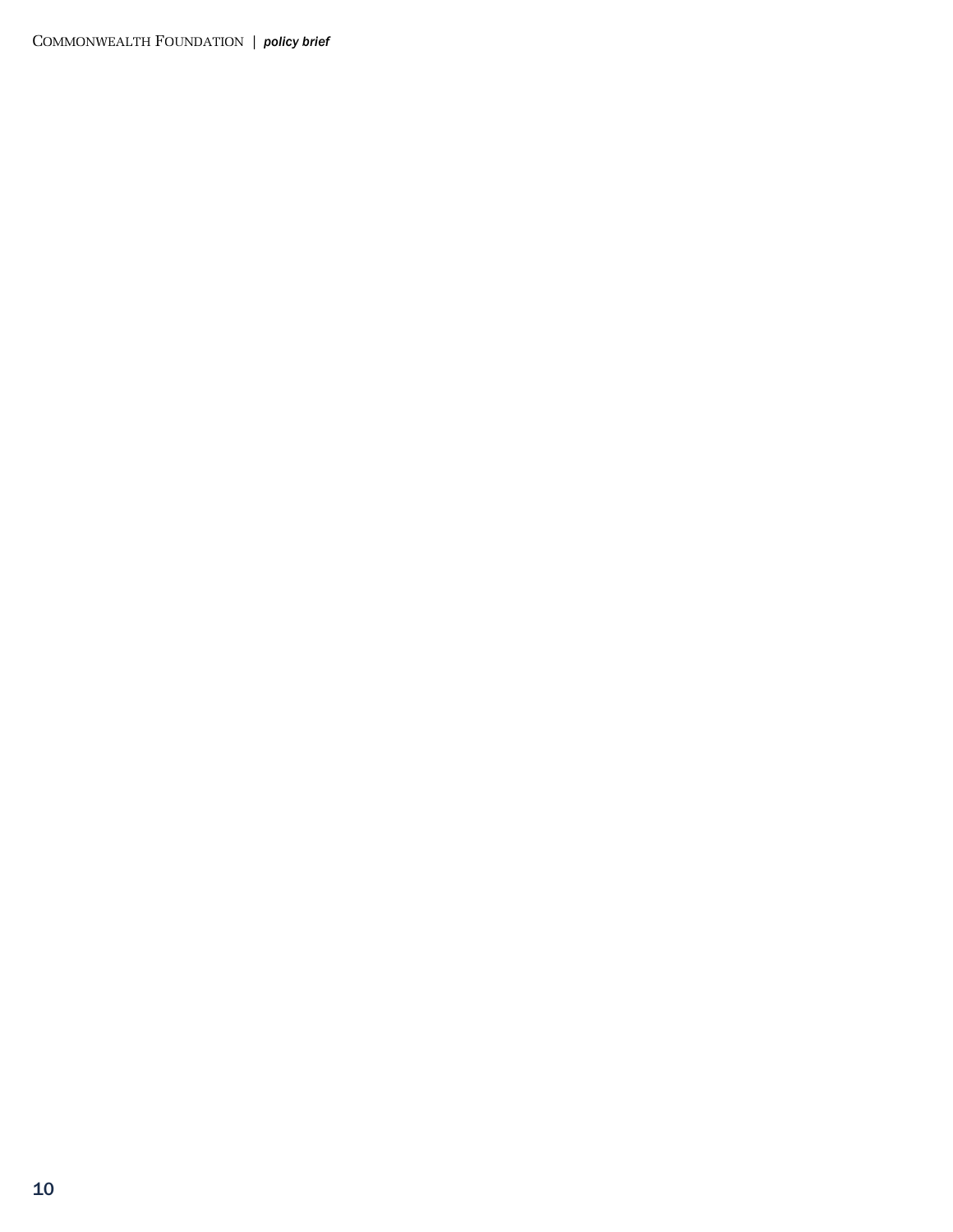COMMONWEALTH FOUNDATION **|** *policy brief*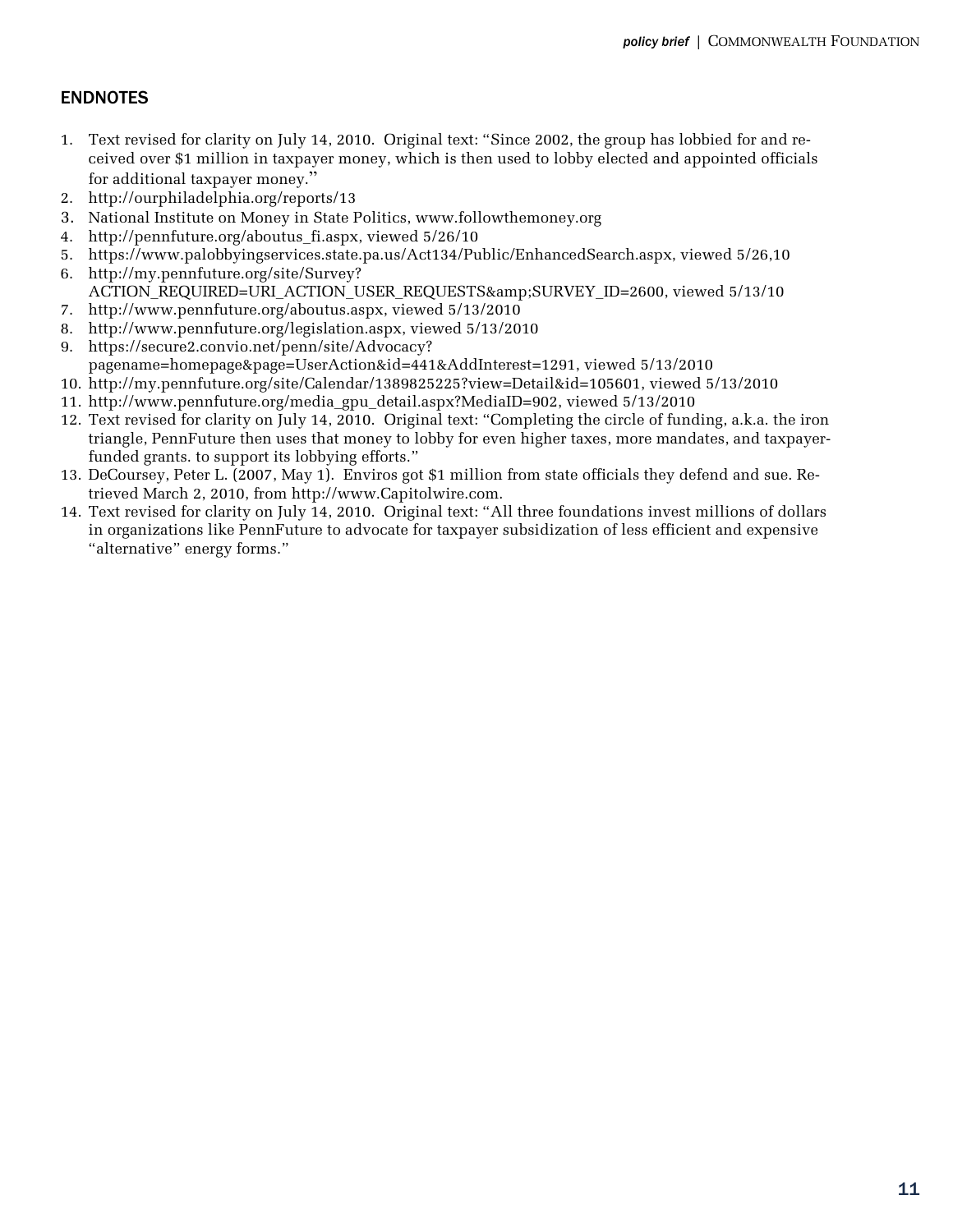# ENDNOTES

- 1. Text revised for clarity on July 14, 2010. Original text: "Since 2002, the group has lobbied for and received over \$1 million in taxpayer money, which is then used to lobby elected and appointed officials for additional taxpayer money."
- 2. http://ourphiladelphia.org/reports/13
- 3. National Institute on Money in State Politics, www.followthemoney.org
- 4. http://pennfuture.org/aboutus\_fi.aspx, viewed 5/26/10
- 5. https://www.palobbyingservices.state.pa.us/Act134/Public/EnhancedSearch.aspx, viewed 5/26,10 6. http://my.pennfuture.org/site/Survey?
- ACTION\_REQUIRED=URI\_ACTION\_USER\_REQUESTS&SURVEY\_ID=2600, viewed 5/13/10
- 7. http://www.pennfuture.org/aboutus.aspx, viewed 5/13/2010
- 8. http://www.pennfuture.org/legislation.aspx, viewed 5/13/2010
- 9. https://secure2.convio.net/penn/site/Advocacy? pagename=homepage&page=UserAction&id=441&AddInterest=1291, viewed 5/13/2010
- 10. http://my.pennfuture.org/site/Calendar/1389825225?view=Detail&id=105601, viewed 5/13/2010
- 11. http://www.pennfuture.org/media\_gpu\_detail.aspx?MediaID=902, viewed 5/13/2010
- 12. Text revised for clarity on July 14, 2010. Original text: "Completing the circle of funding, a.k.a. the iron triangle, PennFuture then uses that money to lobby for even higher taxes, more mandates, and taxpayerfunded grants. to support its lobbying efforts."
- 13. DeCoursey, Peter L. (2007, May 1). Enviros got \$1 million from state officials they defend and sue. Retrieved March 2, 2010, from http://www.Capitolwire.com.
- 14. Text revised for clarity on July 14, 2010. Original text: "All three foundations invest millions of dollars in organizations like PennFuture to advocate for taxpayer subsidization of less efficient and expensive "alternative" energy forms."